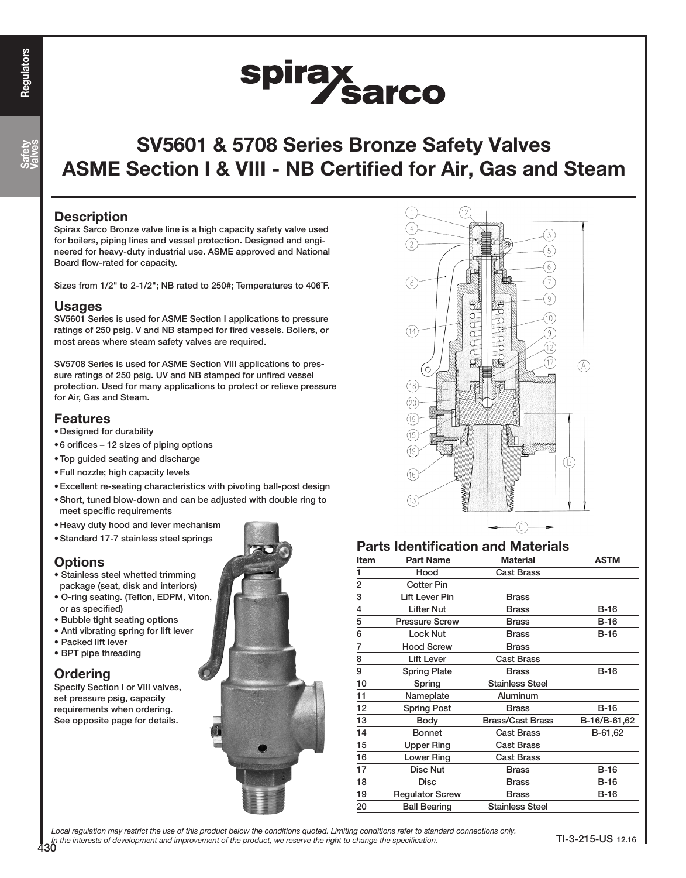Safety Valves

# spirax<br>Sarco

# SV5601 & 5708 Series Bronze Safety Valves ASME Section I & VIII - NB Certified for Air, Gas and Steam

#### **Description**

Spirax Sarco Bronze valve line is a high capacity safety valve used for boilers, piping lines and vessel protection. Designed and engineered for heavy-duty industrial use. ASME approved and National Board flow-rated for capacity.

Sizes from 1/2" to 2-1/2"; NB rated to 250#; Temperatures to 406˚F.

#### **Usages**

SV5601 Series is used for ASME Section I applications to pressure ratings of 250 psig. V and NB stamped for fired vessels. Boilers, or most areas where steam safety valves are required.

SV5708 Series is used for ASME Section VIII applications to pressure ratings of 250 psig. UV and NB stamped for unfired vessel protection. Used for many applications to protect or relieve pressure for Air, Gas and Steam.

#### Features

- •Designed for durability
- •6 orifices 12 sizes of piping options
- •Top guided seating and discharge
- •Full nozzle; high capacity levels
- •Excellent re-seating characteristics with pivoting ball-post design
- Short, tuned blow-down and can be adjusted with double ring to meet specific requirements
- •Heavy duty hood and lever mechanism
- •Standard 17-7 stainless steel springs

## **Options**

- Stainless steel whetted trimming package (seat, disk and interiors)
- O-ring seating. (Teflon, EDPM, Viton, or as specified)
- Bubble tight seating options
- Anti vibrating spring for lift lever
- Packed lift lever
- BPT pipe threading

## **Ordering**

Specify Section I or VIII valves, set pressure psig, capacity requirements when ordering. See opposite page for details.





## Parts Identification and Materials

| Item | <b>Part Name</b>       | <b>Material</b>         | <b>ASTM</b>  |
|------|------------------------|-------------------------|--------------|
| 1    | Hood                   | <b>Cast Brass</b>       |              |
| 2    | <b>Cotter Pin</b>      |                         |              |
| 3    | <b>Lift Lever Pin</b>  | <b>Brass</b>            |              |
| 4    | <b>Lifter Nut</b>      | <b>Brass</b>            | <b>B-16</b>  |
| 5    | <b>Pressure Screw</b>  | <b>Brass</b>            | B-16         |
| 6    | <b>Lock Nut</b>        | <b>Brass</b>            | B-16         |
| 7    | <b>Hood Screw</b>      | <b>Brass</b>            |              |
| 8    | <b>Lift Lever</b>      | <b>Cast Brass</b>       |              |
| 9    | <b>Spring Plate</b>    | <b>Brass</b>            | $B-16$       |
| 10   | Spring                 | <b>Stainless Steel</b>  |              |
| 11   | Nameplate              | Aluminum                |              |
| 12   | <b>Spring Post</b>     | <b>Brass</b>            | $B-16$       |
| 13   | <b>Body</b>            | <b>Brass/Cast Brass</b> | B-16/B-61,62 |
| 14   | <b>Bonnet</b>          | <b>Cast Brass</b>       | B-61,62      |
| 15   | <b>Upper Ring</b>      | <b>Cast Brass</b>       |              |
| 16   | Lower Ring             | <b>Cast Brass</b>       |              |
| 17   | <b>Disc Nut</b>        | <b>Brass</b>            | $B-16$       |
| 18   | <b>Disc</b>            | <b>Brass</b>            | $B-16$       |
| 19   | <b>Regulator Screw</b> | <b>Brass</b>            | $B-16$       |
| 20   | <b>Ball Bearing</b>    | <b>Stainless Steel</b>  |              |

Local regulation may restrict the use of this product below the conditions quoted. Limiting conditions refer to standard connections only. In the interests of development and improvement of the product, we reserve the right to change the specification.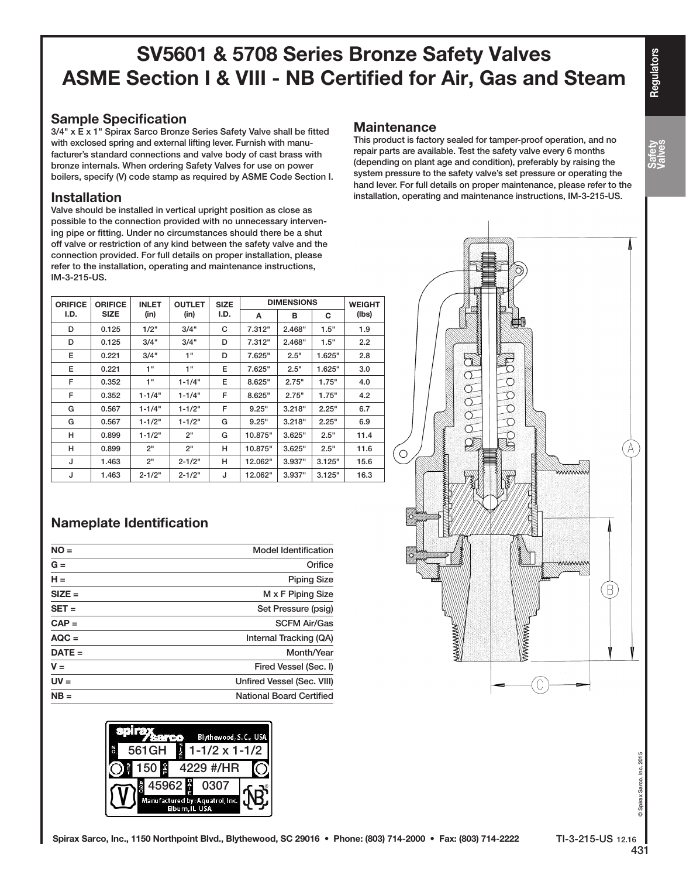## Sample Specification

3/4" x E x 1" Spirax Sarco Bronze Series Safety Valve shall be fitted with exclosed spring and external lifting lever. Furnish with manufacturer's standard connections and valve body of cast brass with bronze internals. When ordering Safety Valves for use on power boilers, specify (V) code stamp as required by ASME Code Section I.

### Installation

Valve should be installed in vertical upright position as close as possible to the connection provided with no unnecessary intervening pipe or fitting. Under no circumstances should there be a shut off valve or restriction of any kind between the safety valve and the connection provided. For full details on proper installation, please refer to the installation, operating and maintenance instructions, IM-3-215-US.

| <b>ORIFICE</b> | <b>ORIFICE</b><br><b>SIZE</b> | <b>INLET</b><br>(in) | <b>OUTLET</b><br>(in) | <b>SIZE</b><br>I.D. | <b>DIMENSIONS</b> |        |        | <b>WEIGHT</b> |
|----------------|-------------------------------|----------------------|-----------------------|---------------------|-------------------|--------|--------|---------------|
| I.D.           |                               |                      |                       |                     | A                 | в      | C      | (lbs)         |
| D              | 0.125                         | 1/2"                 | 3/4"                  | C                   | 7.312"            | 2.468" | 1.5"   | 1.9           |
| D              | 0.125                         | 3/4"                 | 3/4"                  | D                   | 7.312"            | 2.468" | 1.5"   | 2.2           |
| E              | 0.221                         | 3/4"                 | 1"                    | D                   | 7.625"            | 2.5"   | 1.625" | 2.8           |
| E              | 0.221                         | 1"                   | 1"                    | Е                   | 7.625"            | 2.5"   | 1.625" | 3.0           |
| F              | 0.352                         | 1"                   | $1 - 1/4"$            | Е                   | 8.625"            | 2.75"  | 1.75"  | 4.0           |
| F              | 0.352                         | $1 - 1/4"$           | $1 - 1/4"$            | F                   | 8.625"            | 2.75"  | 1.75"  | 4.2           |
| G              | 0.567                         | $1 - 1/4"$           | $1 - 1/2"$            | F                   | 9.25"             | 3.218" | 2.25"  | 6.7           |
| G              | 0.567                         | $1 - 1/2"$           | $1 - 1/2"$            | G                   | 9.25"             | 3.218" | 2.25"  | 6.9           |
| н              | 0.899                         | $1 - 1/2"$           | 2"                    | G                   | 10.875"           | 3.625" | 2.5"   | 11.4          |
| н              | 0.899                         | 2"                   | 2"                    | н                   | 10.875"           | 3.625" | 2.5"   | 11.6          |
| J              | 1.463                         | 2"                   | $2 - 1/2"$            | н                   | 12.062"           | 3.937" | 3.125" | 15.6          |
| J              | 1.463                         | $2 - 1/2"$           | $2 - 1/2"$            | J                   | 12.062"           | 3.937" | 3.125" | 16.3          |

## Nameplate Identification

| $NO =$   | <b>Model Identification</b>     |
|----------|---------------------------------|
| $G =$    | Orifice                         |
| $H =$    | <b>Piping Size</b>              |
| $SIZE =$ | M x F Piping Size               |
| $SET =$  | Set Pressure (psig)             |
| $CAP =$  | <b>SCFM Air/Gas</b>             |
| $AQC =$  | Internal Tracking (QA)          |
| $DATE =$ | Month/Year                      |
| $V =$    | Fired Vessel (Sec. I)           |
| $UV =$   | Unfired Vessel (Sec. VIII)      |
| $NB =$   | <b>National Board Certified</b> |
|          |                                 |



### **Maintenance**

This product is factory sealed for tamper-proof operation, and no repair parts are available. Test the safety valve every 6 months (depending on plant age and condition), preferably by raising the system pressure to the safety valve's set pressure or operating the hand lever. For full details on proper maintenance, please refer to the installation, operating and maintenance instructions, IM-3-215-US.



Safety Valves

© Spirax Sarco, Inc. 2015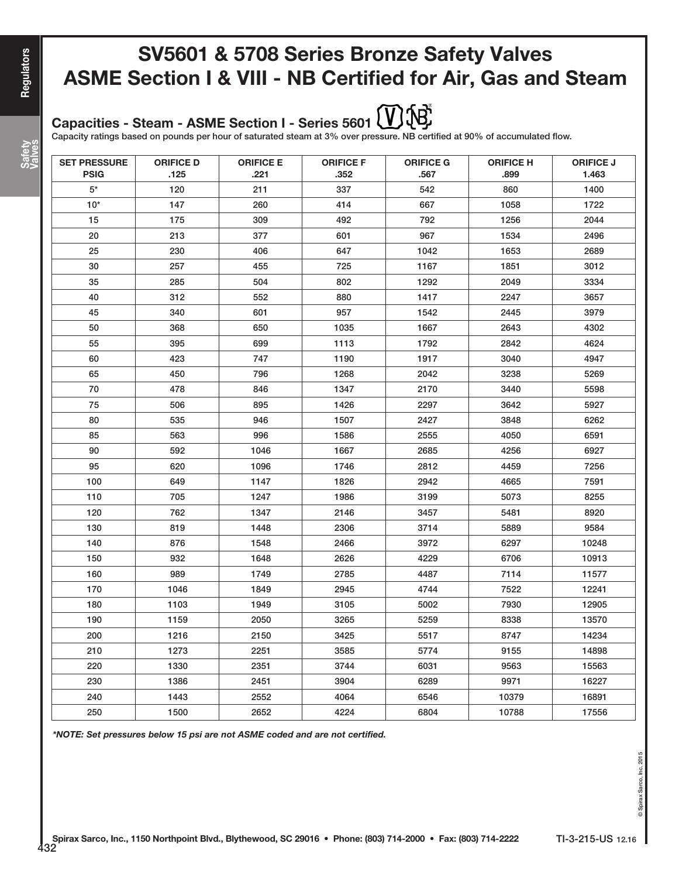#### (促 Capacities - Steam - ASME Section I - Series 5601

Capacity ratings based on pounds per hour of saturated steam at 3% over pressure. NB certified at 90% of accumulated flow.

| <b>SET PRESSURE</b><br><b>PSIG</b> | <b>ORIFICE D</b><br>.125 | <b>ORIFICE E</b><br>.221 | <b>ORIFICE F</b><br>.352 | <b>ORIFICE G</b><br>.567 | <b>ORIFICE H</b><br>.899 | <b>ORIFICE J</b><br>1.463 |
|------------------------------------|--------------------------|--------------------------|--------------------------|--------------------------|--------------------------|---------------------------|
| 5*                                 | 120                      | 211                      | 337                      | 542                      | 860                      | 1400                      |
| $10*$                              | 147                      | 260                      | 414                      | 667                      | 1058                     | 1722                      |
| 15                                 | 175                      | 309                      | 492                      | 792                      | 1256                     | 2044                      |
| 20                                 | 213                      | 377                      | 601                      | 967                      | 1534                     | 2496                      |
| 25                                 | 230                      | 406                      | 647                      | 1042                     | 1653                     | 2689                      |
| 30                                 | 257                      | 455                      | 725                      | 1167                     | 1851                     | 3012                      |
| 35                                 | 285                      | 504                      | 802                      | 1292                     | 2049                     | 3334                      |
| 40                                 | 312                      | 552                      | 880                      | 1417                     | 2247                     | 3657                      |
| 45                                 | 340                      | 601                      | 957                      | 1542                     | 2445                     | 3979                      |
| 50                                 | 368                      | 650                      | 1035                     | 1667                     | 2643                     | 4302                      |
| 55                                 | 395                      | 699                      | 1113                     | 1792                     | 2842                     | 4624                      |
| 60                                 | 423                      | 747                      | 1190                     | 1917                     | 3040                     | 4947                      |
| 65                                 | 450                      | 796                      | 1268                     | 2042                     | 3238                     | 5269                      |
| 70                                 | 478                      | 846                      | 1347                     | 2170                     | 3440                     | 5598                      |
| 75                                 | 506                      | 895                      | 1426                     | 2297                     | 3642                     | 5927                      |
| 80                                 | 535                      | 946                      | 1507                     | 2427                     | 3848                     | 6262                      |
| 85                                 | 563                      | 996                      | 1586                     | 2555                     | 4050                     | 6591                      |
| 90                                 | 592                      | 1046                     | 1667                     | 2685                     | 4256                     | 6927                      |
| 95                                 | 620                      | 1096                     | 1746                     | 2812                     | 4459                     | 7256                      |
| 100                                | 649                      | 1147                     | 1826                     | 2942                     | 4665                     | 7591                      |
| 110                                | 705                      | 1247                     | 1986                     | 3199                     | 5073                     | 8255                      |
| 120                                | 762                      | 1347                     | 2146                     | 3457                     | 5481                     | 8920                      |
| 130                                | 819                      | 1448                     | 2306                     | 3714                     | 5889                     | 9584                      |
| 140                                | 876                      | 1548                     | 2466                     | 3972                     | 6297                     | 10248                     |
| 150                                | 932                      | 1648                     | 2626                     | 4229                     | 6706                     | 10913                     |
| 160                                | 989                      | 1749                     | 2785                     | 4487                     | 7114                     | 11577                     |
| 170                                | 1046                     | 1849                     | 2945                     | 4744                     | 7522                     | 12241                     |
| 180                                | 1103                     | 1949                     | 3105                     | 5002                     | 7930                     | 12905                     |
| 190                                | 1159                     | 2050                     | 3265                     | 5259                     | 8338                     | 13570                     |
| 200                                | 1216                     | 2150                     | 3425                     | 5517                     | 8747                     | 14234                     |
| 210                                | 1273                     | 2251                     | 3585                     | 5774                     | 9155                     | 14898                     |
| 220                                | 1330                     | 2351                     | 3744                     | 6031                     | 9563                     | 15563                     |
| 230                                | 1386                     | 2451                     | 3904                     | 6289                     | 9971                     | 16227                     |
| 240                                | 1443                     | 2552                     | 4064                     | 6546                     | 10379                    | 16891                     |
| 250                                | 1500                     | 2652                     | 4224                     | 6804                     | 10788                    | 17556                     |

\*NOTE: Set pressures below 15 psi are not ASME coded and are not certified.

**Regulators**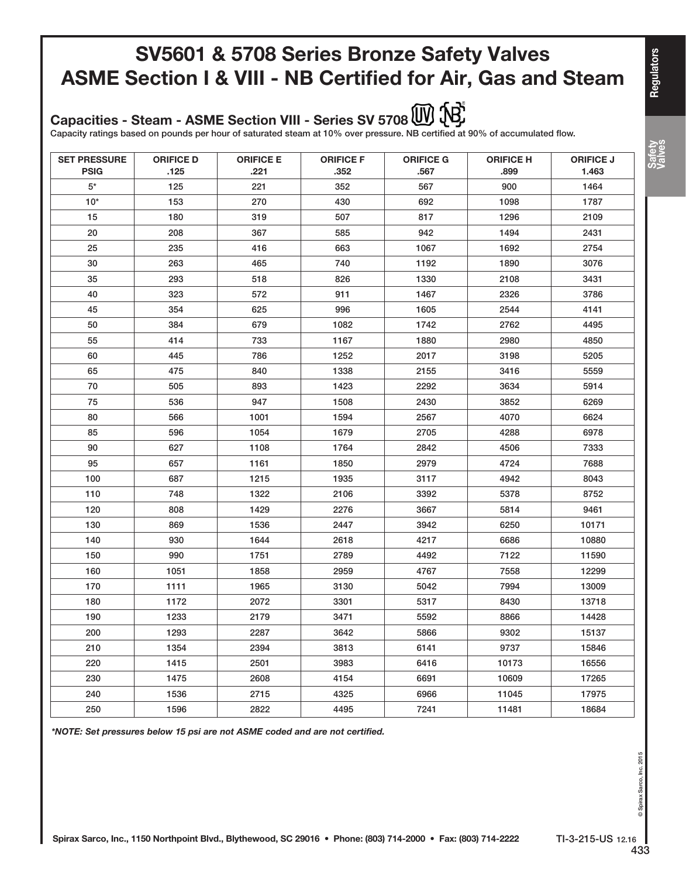Capacities - Steam - ASME Section VIII - Series SV 5708 W 18

Capacity ratings based on pounds per hour of saturated steam at 10% over pressure. NB certified at 90% of accumulated flow.

| <b>SET PRESSURE</b><br><b>PSIG</b> | <b>ORIFICE D</b><br>.125 | <b>ORIFICE E</b><br>.221 | <b>ORIFICE F</b><br>.352 | <b>ORIFICE G</b><br>.567 | <b>ORIFICE H</b><br>.899 | <b>ORIFICE J</b><br>1.463 |
|------------------------------------|--------------------------|--------------------------|--------------------------|--------------------------|--------------------------|---------------------------|
| $5^*$                              | 125                      | 221                      | 352                      | 567                      | 900                      | 1464                      |
| $10*$                              | 153                      | 270                      | 430                      | 692                      | 1098                     | 1787                      |
| 15                                 | 180                      | 319                      | 507                      | 817                      | 1296                     | 2109                      |
| 20                                 | 208                      | 367                      | 585                      | 942                      | 1494                     | 2431                      |
| 25                                 | 235                      | 416                      | 663                      | 1067                     | 1692                     | 2754                      |
| 30                                 | 263                      | 465                      | 740                      | 1192                     | 1890                     | 3076                      |
| 35                                 | 293                      | 518                      | 826                      | 1330                     | 2108                     | 3431                      |
| 40                                 | 323                      | 572                      | 911                      | 1467                     | 2326                     | 3786                      |
| 45                                 | 354                      | 625                      | 996                      | 1605                     | 2544                     | 4141                      |
| 50                                 | 384                      | 679                      | 1082                     | 1742                     | 2762                     | 4495                      |
| 55                                 | 414                      | 733                      | 1167                     | 1880                     | 2980                     | 4850                      |
| 60                                 | 445                      | 786                      | 1252                     | 2017                     | 3198                     | 5205                      |
| 65                                 | 475                      | 840                      | 1338                     | 2155                     | 3416                     | 5559                      |
| 70                                 | 505                      | 893                      | 1423                     | 2292                     | 3634                     | 5914                      |
| 75                                 | 536                      | 947                      | 1508                     | 2430                     | 3852                     | 6269                      |
| 80                                 | 566                      | 1001                     | 1594                     | 2567                     | 4070                     | 6624                      |
| 85                                 | 596                      | 1054                     | 1679                     | 2705                     | 4288                     | 6978                      |
| 90                                 | 627                      | 1108                     | 1764                     | 2842                     | 4506                     | 7333                      |
| 95                                 | 657                      | 1161                     | 1850                     | 2979                     | 4724                     | 7688                      |
| 100                                | 687                      | 1215                     | 1935                     | 3117                     | 4942                     | 8043                      |
| 110                                | 748                      | 1322                     | 2106                     | 3392                     | 5378                     | 8752                      |
| 120                                | 808                      | 1429                     | 2276                     | 3667                     | 5814                     | 9461                      |
| 130                                | 869                      | 1536                     | 2447                     | 3942                     | 6250                     | 10171                     |
| 140                                | 930                      | 1644                     | 2618                     | 4217                     | 6686                     | 10880                     |
| 150                                | 990                      | 1751                     | 2789                     | 4492                     | 7122                     | 11590                     |
| 160                                | 1051                     | 1858                     | 2959                     | 4767                     | 7558                     | 12299                     |
| 170                                | 1111                     | 1965                     | 3130                     | 5042                     | 7994                     | 13009                     |
| 180                                | 1172                     | 2072                     | 3301                     | 5317                     | 8430                     | 13718                     |
| 190                                | 1233                     | 2179                     | 3471                     | 5592                     | 8866                     | 14428                     |
| 200                                | 1293                     | 2287                     | 3642                     | 5866                     | 9302                     | 15137                     |
| 210                                | 1354                     | 2394                     | 3813                     | 6141                     | 9737                     | 15846                     |
| 220                                | 1415                     | 2501                     | 3983                     | 6416                     | 10173                    | 16556                     |
| 230                                | 1475                     | 2608                     | 4154                     | 6691                     | 10609                    | 17265                     |
| 240                                | 1536                     | 2715                     | 4325                     | 6966                     | 11045                    | 17975                     |
| 250                                | 1596                     | 2822                     | 4495                     | 7241                     | 11481                    | 18684                     |

\*NOTE: Set pressures below 15 psi are not ASME coded and are not certified.

**Regulators** 

Safety Valves